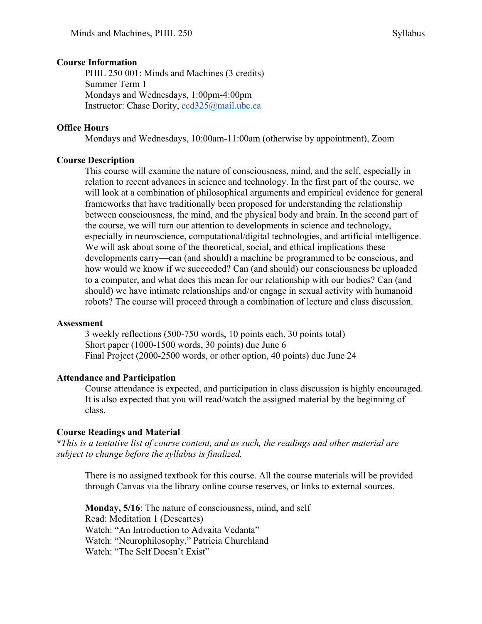#### **Course Information**

PHIL 250 001: Minds and Machines (3 credits) Summer Term 1 Mondays and Wednesdays, 1:00pm-4:00pm Instructor: Chase Dority, ccd325@mail.ubc.ca

## **Office Hours**

Mondays and Wednesdays, 10:00am-11:00am (otherwise by appointment), Zoom

# **Course Description**

This course will examine the nature of consciousness, mind, and the self, especially in relation to recent advances in science and technology. In the first part of the course, we will look at a combination of philosophical arguments and empirical evidence for general frameworks that have traditionally been proposed for understanding the relationship between consciousness, the mind, and the physical body and brain. In the second part of the course, we will turn our attention to developments in science and technology, especially in neuroscience, computational/digital technologies, and artificial intelligence. We will ask about some of the theoretical, social, and ethical implications these developments carry—can (and should) a machine be programmed to be conscious, and how would we know if we succeeded? Can (and should) our consciousness be uploaded to a computer, and what does this mean for our relationship with our bodies? Can (and should) we have intimate relationships and/or engage in sexual activity with humanoid robots? The course will proceed through a combination of lecture and class discussion.

#### **Assessment**

3 weekly reflections (500-750 words, 10 points each, 30 points total) Short paper (1000-1500 words, 30 points) due June 6 Final Project (2000-2500 words, or other option, 40 points) due June 24

# **Attendance and Participation**

Course attendance is expected, and participation in class discussion is highly encouraged. It is also expected that you will read/watch the assigned material by the beginning of class.

# **Course Readings and Material**

**\****This is a tentative list of course content, and as such, the readings and other material are subject to change before the syllabus is finalized.* 

There is no assigned textbook for this course. All the course materials will be provided through Canvas via the library online course reserves, or links to external sources.

**Monday, 5/16**: The nature of consciousness, mind, and self Read: Meditation 1 (Descartes) Watch: "An Introduction to Advaita Vedanta" Watch: "Neurophilosophy," Patricia Churchland Watch: "The Self Doesn't Exist"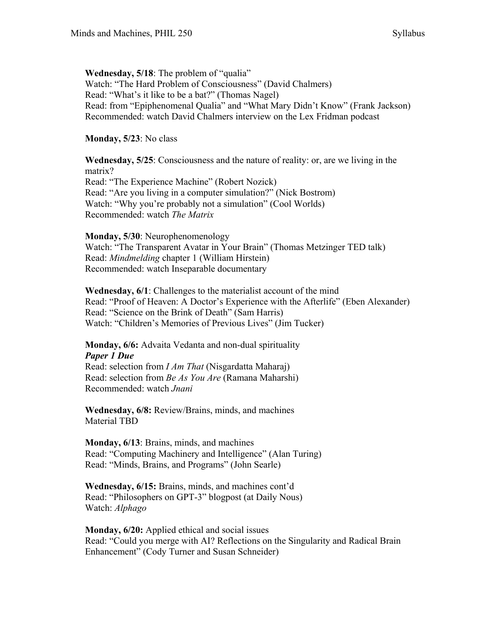## **Wednesday, 5/18**: The problem of "qualia" Watch: "The Hard Problem of Consciousness" (David Chalmers) Read: "What's it like to be a bat?" (Thomas Nagel) Read: from "Epiphenomenal Qualia" and "What Mary Didn't Know" (Frank Jackson)

Recommended: watch David Chalmers interview on the Lex Fridman podcast

# **Monday, 5/23**: No class

**Wednesday, 5/25**: Consciousness and the nature of reality: or, are we living in the matrix? Read: "The Experience Machine" (Robert Nozick) Read: "Are you living in a computer simulation?" (Nick Bostrom) Watch: "Why you're probably not a simulation" (Cool Worlds) Recommended: watch *The Matrix*

### **Monday, 5/30**: Neurophenomenology

Watch: "The Transparent Avatar in Your Brain" (Thomas Metzinger TED talk) Read: *Mindmelding* chapter 1 (William Hirstein) Recommended: watch Inseparable documentary

**Wednesday, 6/1**: Challenges to the materialist account of the mind Read: "Proof of Heaven: A Doctor's Experience with the Afterlife" (Eben Alexander) Read: "Science on the Brink of Death" (Sam Harris) Watch: "Children's Memories of Previous Lives" (Jim Tucker)

# **Monday, 6/6:** Advaita Vedanta and non-dual spirituality *Paper 1 Due* Read: selection from *I Am That* (Nisgardatta Maharaj)

Read: selection from *Be As You Are* (Ramana Maharshi) Recommended: watch *Jnani* 

**Wednesday, 6/8:** Review/Brains, minds, and machines Material TBD

**Monday, 6/13**: Brains, minds, and machines Read: "Computing Machinery and Intelligence" (Alan Turing) Read: "Minds, Brains, and Programs" (John Searle)

**Wednesday, 6/15:** Brains, minds, and machines cont'd Read: "Philosophers on GPT-3" blogpost (at Daily Nous) Watch: *Alphago* 

**Monday, 6/20:** Applied ethical and social issues Read: "Could you merge with AI? Reflections on the Singularity and Radical Brain Enhancement" (Cody Turner and Susan Schneider)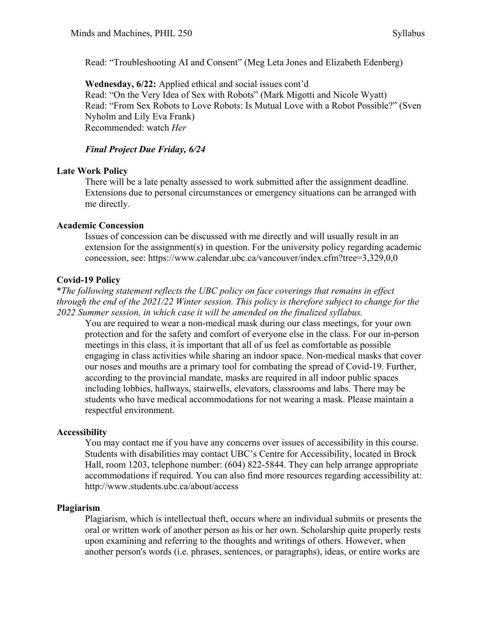Read: "Troubleshooting AI and Consent" (Meg Leta Jones and Elizabeth Edenberg)

**Wednesday, 6/22:** Applied ethical and social issues cont'd Read: "On the Very Idea of Sex with Robots" (Mark Migotti and Nicole Wyatt) Read: "From Sex Robots to Love Robots: Is Mutual Love with a Robot Possible?" (Sven Nyholm and Lily Eva Frank) Recommended: watch *Her* 

# *Final Project Due Friday, 6/24*

# **Late Work Policy**

There will be a late penalty assessed to work submitted after the assignment deadline. Extensions due to personal circumstances or emergency situations can be arranged with me directly.

# **Academic Concession**

Issues of concession can be discussed with me directly and will usually result in an extension for the assignment(s) in question. For the university policy regarding academic concession, see: https://www.calendar.ubc.ca/vancouver/index.cfm?tree=3,329,0,0

# **Covid-19 Policy**

\**The following statement reflects the UBC policy on face coverings that remains in effect through the end of the 2021/22 Winter session. This policy is therefore subject to change for the 2022 Summer session, in which case it will be amended on the finalized syllabus.* 

You are required to wear a non-medical mask during our class meetings, for your own protection and for the safety and comfort of everyone else in the class. For our in-person meetings in this class, it is important that all of us feel as comfortable as possible engaging in class activities while sharing an indoor space. Non-medical masks that cover our noses and mouths are a primary tool for combating the spread of Covid-19. Further, according to the provincial mandate, masks are required in all indoor public spaces including lobbies, hallways, stairwells, elevators, classrooms and labs. There may be students who have medical accommodations for not wearing a mask. Please maintain a respectful environment.

# **Accessibility**

You may contact me if you have any concerns over issues of accessibility in this course. Students with disabilities may contact UBC's Centre for Accessibility, located in Brock Hall, room 1203, telephone number: (604) 822-5844. They can help arrange appropriate accommodations if required. You can also find more resources regarding accessibility at: http://www.students.ubc.ca/about/access

#### **Plagiarism**

Plagiarism, which is intellectual theft, occurs where an individual submits or presents the oral or written work of another person as his or her own. Scholarship quite properly rests upon examining and referring to the thoughts and writings of others. However, when another person's words (i.e. phrases, sentences, or paragraphs), ideas, or entire works are